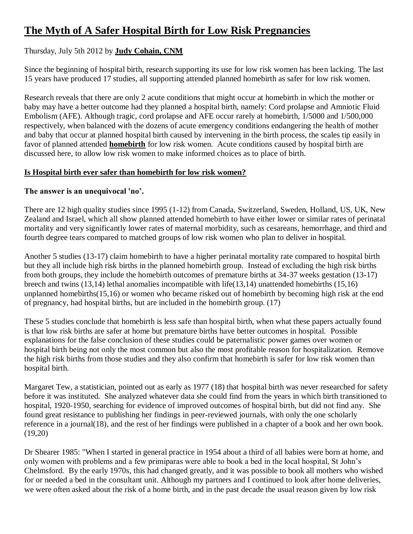# **[The Myth of A Safer Hospital Birth for Low Risk Pregnancies](http://www.greenmedinfo.com/blog/myth-safer-hospital-birth-low-risk-pregnancies)**

# Thursday, July 5th 2012 by **[Judy Cohain, CNM](http://www.greenmedinfo.com/gmi-blogs/judyslome)**

Since the beginning of hospital birth, research supporting its use for low risk women has been lacking. The last 15 years have produced 17 studies, all supporting attended planned homebirth as safer for low risk women.

Research reveals that there are only 2 acute conditions that might occur at homebirth in which the mother or baby may have a better outcome had they planned a hospital birth, namely: Cord prolapse and Amniotic Fluid Embolism (AFE). Although tragic, cord prolapse and AFE occur rarely at homebirth, 1/5000 and 1/500,000 respectively, when balanced with the dozens of acute emergency conditions endangering the health of mother and baby that occur at planned hospital birth caused by intervening in the birth process, the scales tip easily in favor of planned attended **[homebirth](http://www.greenmedinfo.com/therapeutic-action/home-birth)** for low risk women. Acute conditions caused by hospital birth are discussed here, to allow low risk women to make informed choices as to place of birth.

#### **Is Hospital birth ever safer than homebirth for low risk women?**

#### **The answer is an unequivocal 'no'.**

There are 12 high quality studies since 1995 (1-12) from Canada, Switzerland, Sweden, Holland, US, UK, New Zealand and Israel, which all show planned attended homebirth to have either lower or similar rates of perinatal mortality and very significantly lower rates of maternal morbidity, such as cesareans, hemorrhage, and third and fourth degree tears compared to matched groups of low risk women who plan to deliver in hospital.

Another 5 studies (13-17) claim homebirth to have a higher perinatal mortality rate compared to hospital birth but they all include high risk births in the planned homebirth group. Instead of excluding the high risk births from both groups, they include the homebirth outcomes of premature births at 34-37 weeks gestation (13-17) breech and twins (13,14) lethal anomalies incompatible with life(13,14) unattended homebirths (15,16) unplanned homebirths(15,16) or women who became risked out of homebirth by becoming high risk at the end of pregnancy, had hospital births, but are included in the homebirth group. (17)

These 5 studies conclude that homebirth is less safe than hospital birth, when what these papers actually found is that low risk births are safer at home but premature births have better outcomes in hospital. Possible explanations for the false conclusion of these studies could be paternalistic power games over women or hospital birth being not only the most common but also the most profitable reason for hospitalization. Remove the high risk births from those studies and they also confirm that homebirth is safer for low risk women than hospital birth.

Margaret Tew, a statistician, pointed out as early as 1977 (18) that hospital birth was never researched for safety before it was instituted. She analyzed whatever data she could find from the years in which birth transitioned to hospital, 1920-1950, searching for evidence of improved outcomes of hospital birth, but did not find any. She found great resistance to publishing her findings in peer-reviewed journals, with only the one scholarly reference in a journal(18), and the rest of her findings were published in a chapter of a book and her own book. (19,20)

Dr Shearer 1985: "When I started in general practice in 1954 about a third of all babies were born at home, and only women with problems and a few primiparas were able to book a bed in the local hospital, St John's Chelmsford. By the early 1970s, this had changed greatly, and it was possible to book all mothers who wished for or needed a bed in the consultant unit. Although my partners and I continued to look after home deliveries, we were often asked about the risk of a home birth, and in the past decade the usual reason given by low risk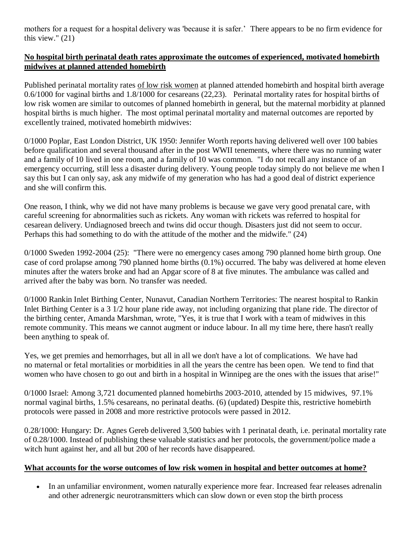mothers for a request for a hospital delivery was 'because it is safer.' There appears to be no firm evidence for this view." (21)

#### **No hospital birth perinatal death rates approximate the outcomes of experienced, motivated homebirth midwives at planned attended homebirth**

Published perinatal mortality rates of low risk women at planned attended homebirth and hospital birth average 0.6/1000 for vaginal births and 1.8/1000 for cesareans (22,23). Perinatal mortality rates for hospital births of low risk women are similar to outcomes of planned homebirth in general, but the maternal morbidity at planned hospital births is much higher. The most optimal perinatal mortality and maternal outcomes are reported by excellently trained, motivated homebirth midwives:

0/1000 Poplar, East London District, UK 1950: Jennifer Worth reports having delivered well over 100 babies before qualification and several thousand after in the post WWII tenements, where there was no running water and a family of 10 lived in one room, and a family of 10 was common. "I do not recall any instance of an emergency occurring, still less a disaster during delivery. Young people today simply do not believe me when I say this but I can only say, ask any midwife of my generation who has had a good deal of district experience and she will confirm this.

One reason, I think, why we did not have many problems is because we gave very good prenatal care, with careful screening for abnormalities such as rickets. Any woman with rickets was referred to hospital for cesarean delivery. Undiagnosed breech and twins did occur though. Disasters just did not seem to occur. Perhaps this had something to do with the attitude of the mother and the midwife." (24)

0/1000 Sweden 1992-2004 (25): "There were no emergency cases among 790 planned home birth group. One case of cord prolapse among 790 planned home births (0.1%) occurred. The baby was delivered at home eleven minutes after the waters broke and had an Apgar score of 8 at five minutes. The ambulance was called and arrived after the baby was born. No transfer was needed.

0/1000 Rankin Inlet Birthing Center, Nunavut, Canadian Northern Territories: The nearest hospital to Rankin Inlet Birthing Center is a 3 1/2 hour plane ride away, not including organizing that plane ride. The director of the birthing center, Amanda Marshman, wrote, "Yes, it is true that I work with a team of midwives in this remote community. This means we cannot augment or induce labour. In all my time here, there hasn't really been anything to speak of.

Yes, we get premies and hemorrhages, but all in all we don't have a lot of complications. We have had no maternal or fetal mortalities or morbidities in all the years the centre has been open. We tend to find that women who have chosen to go out and birth in a hospital in Winnipeg are the ones with the issues that arise!"

0/1000 Israel: Among 3,721 documented planned homebirths 2003-2010, attended by 15 midwives, 97.1% normal vaginal births, 1.5% cesareans, no perinatal deaths. (6) (updated) Despite this, restrictive homebirth protocols were passed in 2008 and more restrictive protocols were passed in 2012.

0.28/1000: Hungary: Dr. Agnes Gereb delivered 3,500 babies with 1 perinatal death, i.e. perinatal mortality rate of 0.28/1000. Instead of publishing these valuable statistics and her protocols, the government/police made a witch hunt against her, and all but 200 of her records have disappeared.

#### **What accounts for the worse outcomes of low risk women in hospital and better outcomes at home?**

 In an unfamiliar environment, women naturally experience more fear. Increased fear releases adrenalin and other adrenergic neurotransmitters which can slow down or even stop the birth process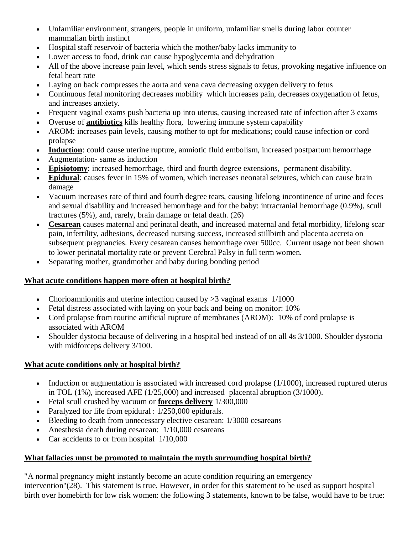- Unfamiliar environment, strangers, people in uniform, unfamiliar smells during labor counter mammalian birth instinct
- Hospital staff reservoir of bacteria which the mother/baby lacks immunity to
- Lower access to food, drink can cause hypoglycemia and dehydration
- All of the above increase pain level, which sends stress signals to fetus, provoking negative influence on fetal heart rate
- Laying on back compresses the aorta and vena cava decreasing oxygen delivery to fetus
- Continuous fetal monitoring decreases mobility which increases pain, decreases oxygenation of fetus, and increases anxiety.
- Frequent vaginal exams push bacteria up into uterus, causing increased rate of infection after 3 exams
- Overuse of **[antibiotics](http://www.greenmedinfo.com/toxic-ingredient/antibiotics)** kills healthy flora, lowering immune system capability
- AROM: increases pain levels, causing mother to opt for medications; could cause infection or cord prolapse
- **[Induction](http://www.greenmedinfo.com/blog/drug-induced-birth-linked-c-sections-fetal-harm)**: could cause uterine rupture, amniotic fluid embolism, increased postpartum hemorrhage
- Augmentation- same as induction
- **[Episiotomy](http://www.greenmedinfo.com/anti-therapeutic-action/episiotomy)**: increased hemorrhage, third and fourth degree extensions, permanent disability.
- **[Epidural](http://www.greenmedinfo.com/blog/why-so-many-women-are-taking-epidural-trip)**: causes fever in 15% of women, which increases neonatal seizures, which can cause brain damage
- Vacuum increases rate of third and fourth degree tears, causing lifelong incontinence of urine and feces and sexual disability and increased hemorrhage and for the baby: intracranial hemorrhage (0.9%), scull fractures (5%), and, rarely, brain damage or fetal death. (26)
- **[Cesarean](http://www.greenmedinfo.com/anti-therapeutic-action/cesarean-delivery)** causes maternal and perinatal death, and increased maternal and fetal morbidity, lifelong scar pain, infertility, adhesions, decreased nursing success, increased stillbirth and placenta accreta on subsequent pregnancies. Every cesarean causes hemorrhage over 500cc. Current usage not been shown to lower perinatal mortality rate or prevent Cerebral Palsy in full term women.
- Separating mother, grandmother and baby during bonding period

# **What acute conditions happen more often at hospital birth?**

- Chorioamnionitis and uterine infection caused by  $>3$  vaginal exams 1/1000
- Fetal distress associated with laying on your back and being on monitor: 10%
- Cord prolapse from routine artificial rupture of membranes (AROM): 10% of cord prolapse is associated with AROM
- Shoulder dystocia because of delivering in a hospital bed instead of on all 4s 3/1000. Shoulder dystocia with midforceps delivery 3/100.

# **What acute conditions only at hospital birth?**

- $\bullet$  Induction or augmentation is associated with increased cord prolapse (1/1000), increased ruptured uterus in TOL (1%), increased AFE (1/25,000) and increased placental abruption (3/1000).
- Fetal scull crushed by vacuum or **[forceps delivery](http://www.greenmedinfo.com/blog/mars-attack-violation-women-care-providers-birth)** 1/300,000
- Paralyzed for life from epidural : 1/250,000 epidurals.
- Bleeding to death from unnecessary elective cesarean: 1/3000 cesareans
- Anesthesia death during cesarean:  $1/10,000$  cesareans
- Car accidents to or from hospital 1/10,000

# **What fallacies must be promoted to maintain the myth surrounding hospital birth?**

"A normal pregnancy might instantly become an acute condition requiring an emergency intervention"(28). This statement is true. However, in order for this statement to be used as support hospital birth over homebirth for low risk women: the following 3 statements, known to be false, would have to be true: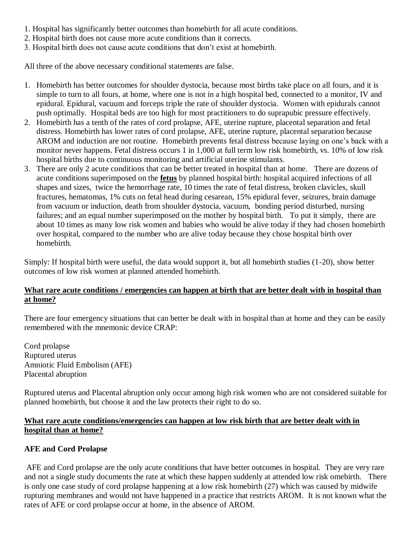- 1. Hospital has significantly better outcomes than homebirth for all acute conditions.
- 2. Hospital birth does not cause more acute conditions than it corrects.
- 3. Hospital birth does not cause acute conditions that don't exist at homebirth.

All three of the above necessary conditional statements are false.

- 1. Homebirth has better outcomes for shoulder dystocia, because most births take place on all fours, and it is simple to turn to all fours, at home, where one is not in a high hospital bed, connected to a monitor, IV and epidural. Epidural, vacuum and forceps triple the rate of shoulder dystocia. Women with epidurals cannot push optimally. Hospital beds are too high for most practitioners to do suprapubic pressure effectively.
- 2. Homebirth has a tenth of the rates of cord prolapse, AFE, uterine rupture, placental separation and fetal distress. Homebirth has lower rates of cord prolapse, AFE, uterine rupture, placental separation because AROM and induction are not routine. Homebirth prevents fetal distress because laying on one's back with a monitor never happens. Fetal distress occurs 1 in 1,000 at full term low risk homebirth, vs. 10% of low risk hospital births due to continuous monitoring and artificial uterine stimulants.
- 3. There are only 2 acute conditions that can be better treated in hospital than at home. There are dozens of acute conditions superimposed on the **fetus** by planned hospital birth: hospital acquired infections of all shapes and sizes, twice the hemorrhage rate, 10 times the rate of fetal distress, broken clavicles, skull fractures, hematomas, 1% cuts on fetal head during cesarean, 15% epidural fever, seizures, brain damage from vacuum or induction, death from shoulder dystocia, vacuum, bonding period disturbed, nursing failures; and an equal number superimposed on the mother by hospital birth. To put it simply, there are about 10 times as many low risk women and babies who would be alive today if they had chosen homebirth over hospital, compared to the number who are alive today because they chose hospital birth over homebirth.

Simply: If hospital birth were useful, the data would support it, but all homebirth studies (1-20), show better outcomes of low risk women at planned attended homebirth.

#### What rare acute conditions / emergencies can happen at birth that are better dealt with in hospital than **at home?**

There are four emergency situations that can better be dealt with in hospital than at home and they can be easily remembered with the mnemonic device CRAP:

Cord prolapse Ruptured uterus Amniotic Fluid Embolism (AFE) Placental abruption

Ruptured uterus and Placental abruption only occur among high risk women who are not considered suitable for planned homebirth, but choose it and the law protects their right to do so.

#### **What rare acute conditions/emergencies can happen at low risk birth that are better dealt with in hospital than at home?**

# **AFE and Cord Prolapse**

AFE and Cord prolapse are the only acute conditions that have better outcomes in hospital. They are very rare and not a single study documents the rate at which these happen suddenly at attended low risk omebirth. There is only one case study of cord prolapse happening at a low risk homebirth (27) which was caused by midwife rupturing membranes and would not have happened in a practice that restricts AROM. It is not known what the rates of AFE or cord prolapse occur at home, in the absence of AROM.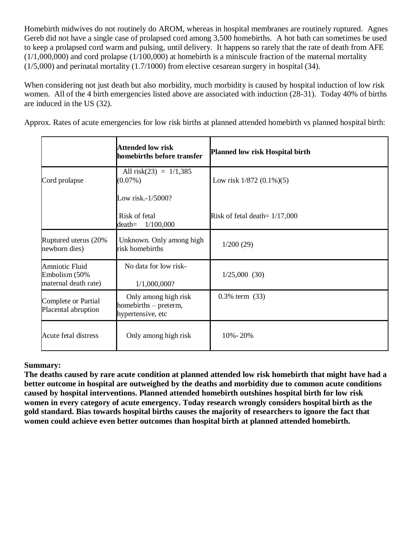Homebirth midwives do not routinely do AROM, whereas in hospital membranes are routinely ruptured. Agnes Gereb did not have a single case of prolapsed cord among 3,500 homebirths. A hot bath can sometimes be used to keep a prolapsed cord warm and pulsing, until delivery. It happens so rarely that the rate of death from AFE  $(1/1,000,000)$  and cord prolapse  $(1/100,000)$  at homebirth is a miniscule fraction of the maternal mortality  $(1/5,000)$  and perinatal mortality  $(1.7/1000)$  from elective cesarean surgery in hospital  $(34)$ .

When considering not just death but also morbidity, much morbidity is caused by hospital induction of low risk women. All of the 4 birth emergencies listed above are associated with induction (28-31). Today 40% of births are induced in the US (32).

Approx. Rates of acute emergencies for low risk births at planned attended homebirth vs planned hospital birth:

|                                                         | <b>Attended low risk</b><br>homebirths before transfer             | <b>Planned low risk Hospital birth</b> |
|---------------------------------------------------------|--------------------------------------------------------------------|----------------------------------------|
| Cord prolapse                                           | All risk(23) = $1/1,385$<br>$(0.07\%)$                             | Low risk $1/872$ $(0.1\%)$ $(5)$       |
|                                                         | Low risk.-1/5000?                                                  |                                        |
|                                                         | Risk of fetal<br>1/100,000<br>$death =$                            | Risk of fetal death= $1/17,000$        |
| Ruptured uterus (20%<br>newborn dies)                   | Unknown. Only among high<br>risk homebirths                        | 1/200(29)                              |
| Amniotic Fluid<br>Embolism (50%<br>maternal death rate) | No data for low risk-<br>1/1,000,000?                              | 1/25,000(30)                           |
| Complete or Partial<br>Placental abruption              | Only among high risk<br>homebirths - preterm,<br>hypertensive, etc | $0.3\%$ term $(33)$                    |
| Acute fetal distress                                    | Only among high risk                                               | 10% - 20%                              |

# **Summary:**

**The deaths caused by rare acute condition at planned attended low risk homebirth that might have had a better outcome in hospital are outweighed by the deaths and morbidity due to common acute conditions caused by hospital interventions. Planned attended homebirth outshines hospital birth for low risk women in every category of acute emergency. Today research wrongly considers hospital birth as the gold standard. Bias towards hospital births causes the majority of researchers to ignore the fact that women could achieve even better outcomes than hospital birth at planned attended homebirth.**